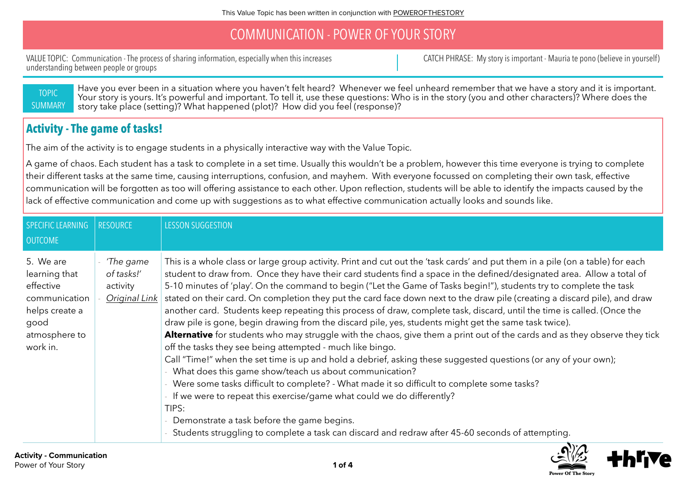### COMMUNICATION - POWER OF YOUR STORY

VALUE TOPIC: Communication - The process of sharing information, especially when this increases understanding between people or groups

CATCH PHRASE: My story is important - Mauria te pono (believe in yourself)

TOPIC **SUMMARY**  Have you ever been in a situation where you haven't felt heard? Whenever we feel unheard remember that we have a story and it is important. Your story is yours. It's powerful and important. To tell it, use these questions: Who is in the story (you and other characters)? Where does the story take place (setting)? What happened (plot)? How did you feel (response)?

#### **Activity - The game of tasks!**

The aim of the activity is to engage students in a physically interactive way with the Value Topic.

A game of chaos. Each student has a task to complete in a set time. Usually this wouldn't be a problem, however this time everyone is trying to complete their different tasks at the same time, causing interruptions, confusion, and mayhem. With everyone focussed on completing their own task, effective communication will be forgotten as too will offering assistance to each other. Upon reflection, students will be able to identify the impacts caused by the lack of effective communication and come up with suggestions as to what effective communication actually looks and sounds like.

| SPECIFIC LEARNING<br><b>OUTCOME</b>                                                                             | <b>RESOURCE</b>                                      | <b>LESSON SUGGESTION</b>                                                                                                                                                                                                                                                                                                                                                                                                                                                                                                                                                                                                                                                                                                                                                                                                                                                                                                                                                                                                                                                                                                                                                                                                                                                                                                                                                                                                                                   |
|-----------------------------------------------------------------------------------------------------------------|------------------------------------------------------|------------------------------------------------------------------------------------------------------------------------------------------------------------------------------------------------------------------------------------------------------------------------------------------------------------------------------------------------------------------------------------------------------------------------------------------------------------------------------------------------------------------------------------------------------------------------------------------------------------------------------------------------------------------------------------------------------------------------------------------------------------------------------------------------------------------------------------------------------------------------------------------------------------------------------------------------------------------------------------------------------------------------------------------------------------------------------------------------------------------------------------------------------------------------------------------------------------------------------------------------------------------------------------------------------------------------------------------------------------------------------------------------------------------------------------------------------------|
| 5. We are<br>learning that<br>effective<br>communication<br>helps create a<br>good<br>atmosphere to<br>work in. | 'The game<br>of tasks!'<br>activity<br>Original Link | This is a whole class or large group activity. Print and cut out the 'task cards' and put them in a pile (on a table) for each<br>student to draw from. Once they have their card students find a space in the defined/designated area. Allow a total of<br>5-10 minutes of 'play'. On the command to begin ("Let the Game of Tasks begin!"), students try to complete the task<br>stated on their card. On completion they put the card face down next to the draw pile (creating a discard pile), and draw<br>another card. Students keep repeating this process of draw, complete task, discard, until the time is called. (Once the<br>draw pile is gone, begin drawing from the discard pile, yes, students might get the same task twice).<br>Alternative for students who may struggle with the chaos, give them a print out of the cards and as they observe they tick<br>off the tasks they see being attempted - much like bingo.<br>Call "Time!" when the set time is up and hold a debrief, asking these suggested questions (or any of your own);<br>What does this game show/teach us about communication?<br>Were some tasks difficult to complete? - What made it so difficult to complete some tasks?<br>If we were to repeat this exercise/game what could we do differently?<br>TIPS:<br>Demonstrate a task before the game begins.<br>Students struggling to complete a task can discard and redraw after 45-60 seconds of attempting. |

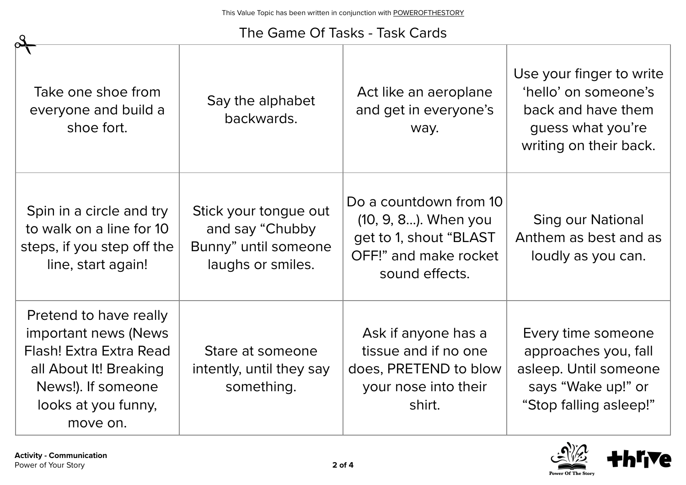# The Game Of Tasks - Task Cards

| Take one shoe from<br>everyone and build a<br>shoe fort.                                                                                                      | Say the alphabet<br>backwards.                                                        | Act like an aeroplane<br>and get in everyone's<br>way.                                                               | Use your finger to write<br>'hello' on someone's<br>back and have them<br>guess what you're<br>writing on their back. |
|---------------------------------------------------------------------------------------------------------------------------------------------------------------|---------------------------------------------------------------------------------------|----------------------------------------------------------------------------------------------------------------------|-----------------------------------------------------------------------------------------------------------------------|
| Spin in a circle and try<br>to walk on a line for 10<br>steps, if you step off the<br>line, start again!                                                      | Stick your tongue out<br>and say "Chubby<br>Bunny" until someone<br>laughs or smiles. | Do a countdown from 10<br>(10, 9, 8). When you<br>get to 1, shout "BLAST"<br>OFF!" and make rocket<br>sound effects. | <b>Sing our National</b><br>Anthem as best and as<br>loudly as you can.                                               |
| Pretend to have really<br>important news (News)<br>Flash! Extra Extra Read<br>all About It! Breaking<br>News!). If someone<br>looks at you funny,<br>move on. | Stare at someone<br>intently, until they say<br>something.                            | Ask if anyone has a<br>tissue and if no one<br>does, PRETEND to blow<br>your nose into their<br>shirt.               | Every time someone<br>approaches you, fall<br>asleep. Until someone<br>says "Wake up!" or<br>"Stop falling asleep!"   |

 $\mathcal{S}_{\mathcal{A}}$ 

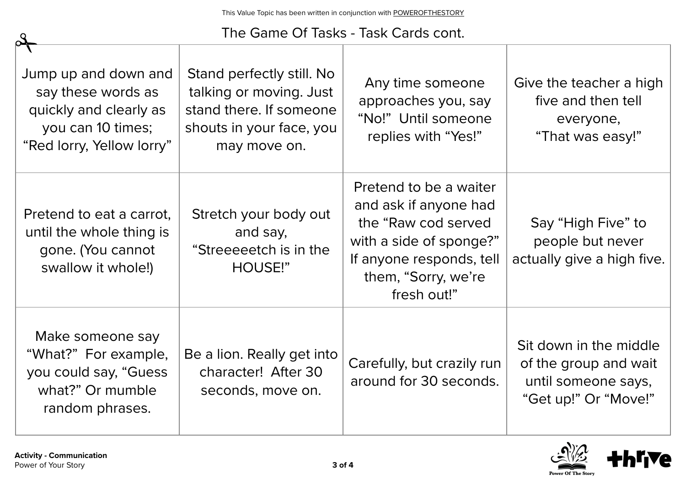### The Game Of Tasks - Task Cards cont.

| Jump up and down and<br>say these words as<br>quickly and clearly as<br>you can 10 times;<br>"Red lorry, Yellow lorry" | Stand perfectly still. No<br>talking or moving. Just<br>stand there. If someone<br>shouts in your face, you<br>may move on. | Any time someone<br>approaches you, say<br>"No!" Until someone<br>replies with "Yes!"                                                                               | Give the teacher a high<br>five and then tell<br>everyone,<br>"That was easy!"                 |
|------------------------------------------------------------------------------------------------------------------------|-----------------------------------------------------------------------------------------------------------------------------|---------------------------------------------------------------------------------------------------------------------------------------------------------------------|------------------------------------------------------------------------------------------------|
| Pretend to eat a carrot,<br>until the whole thing is<br>gone. (You cannot<br>swallow it whole!)                        | Stretch your body out<br>and say,<br>"Streeeeetch is in the<br>HOUSE!"                                                      | Pretend to be a waiter<br>and ask if anyone had<br>the "Raw cod served<br>with a side of sponge?"<br>If anyone responds, tell<br>them, "Sorry, we're<br>fresh out!" | Say "High Five" to<br>people but never<br>actually give a high five.                           |
| Make someone say<br>"What?" For example,<br>you could say, "Guess"<br>what?" Or mumble<br>random phrases.              | Be a lion. Really get into<br>character! After 30<br>seconds, move on.                                                      | Carefully, but crazily run<br>around for 30 seconds.                                                                                                                | Sit down in the middle<br>of the group and wait<br>until someone says,<br>"Get up!" Or "Move!" |